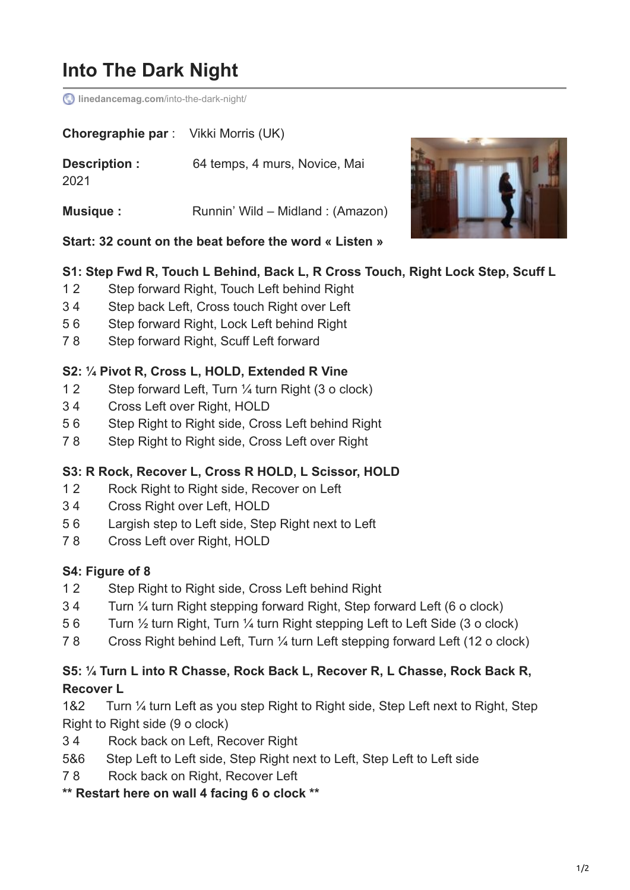# **Into The Dark Night**

**[linedancemag.com](https://www.linedancemag.com/into-the-dark-night/)**/into-the-dark-night/

| <b>Choregraphie par :</b> Vikki Morris (UK) |                                   |
|---------------------------------------------|-----------------------------------|
| Description :<br>2021                       | 64 temps, 4 murs, Novice, Mai     |
| <b>Musique:</b>                             | Runnin' Wild - Midland : (Amazon) |



#### **Start: 32 count on the beat before the word « Listen »**

## **S1: Step Fwd R, Touch L Behind, Back L, R Cross Touch, Right Lock Step, Scuff L**

- 1 2 Step forward Right, Touch Left behind Right
- 3 4 Step back Left, Cross touch Right over Left
- 5 6 Step forward Right, Lock Left behind Right
- 7 8 Step forward Right, Scuff Left forward

#### **S2: ¼ Pivot R, Cross L, HOLD, Extended R Vine**

- 1 2 Step forward Left, Turn ¼ turn Right (3 o clock)
- 3 4 Cross Left over Right, HOLD
- 5 6 Step Right to Right side, Cross Left behind Right
- 7 8 Step Right to Right side, Cross Left over Right

## **S3: R Rock, Recover L, Cross R HOLD, L Scissor, HOLD**

- 12 Rock Right to Right side, Recover on Left
- 3 4 Cross Right over Left, HOLD
- 5 6 Largish step to Left side, Step Right next to Left
- 7 8 Cross Left over Right, HOLD

## **S4: Figure of 8**

- 12 Step Right to Right side, Cross Left behind Right
- 3 4 Turn ¼ turn Right stepping forward Right, Step forward Left (6 o clock)
- 5 6 Turn ½ turn Right, Turn ¼ turn Right stepping Left to Left Side (3 o clock)
- 7 8 Cross Right behind Left, Turn ¼ turn Left stepping forward Left (12 o clock)

## **S5: ¼ Turn L into R Chasse, Rock Back L, Recover R, L Chasse, Rock Back R, Recover L**

1&2 Turn ¼ turn Left as you step Right to Right side, Step Left next to Right, Step Right to Right side (9 o clock)

- 3 4 Rock back on Left, Recover Right
- 5&6 Step Left to Left side, Step Right next to Left, Step Left to Left side
- 7 8 Rock back on Right, Recover Left

## **\*\* Restart here on wall 4 facing 6 o clock \*\***